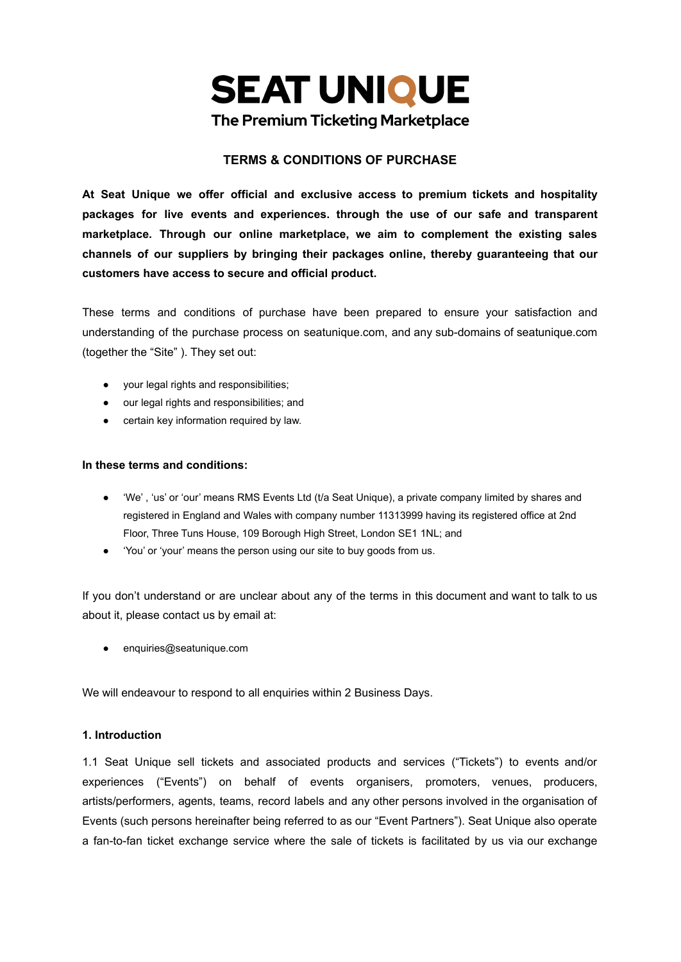

#### **TERMS & CONDITIONS OF PURCHASE**

**At Seat Unique we offer official and exclusive access to premium tickets and hospitality packages for live events and experiences. through the use of our safe and transparent marketplace. Through our online marketplace, we aim to complement the existing sales channels of our suppliers by bringing their packages online, thereby guaranteeing that our customers have access to secure and official product.**

These terms and conditions of purchase have been prepared to ensure your satisfaction and understanding of the purchase process on seatunique.com, and any sub-domains of seatunique.com (together the "Site" ). They set out:

- your legal rights and responsibilities;
- our legal rights and responsibilities; and
- certain key information required by law.

#### **In these terms and conditions:**

- 'We' , 'us' or 'our' means RMS Events Ltd (t/a Seat Unique), a private company limited by shares and registered in England and Wales with company number 11313999 having its registered office at 2nd Floor, Three Tuns House, 109 Borough High Street, London SE1 1NL; and
- 'You' or 'your' means the person using our site to buy goods from us.

If you don't understand or are unclear about any of the terms in this document and want to talk to us about it, please contact us by email at:

● enquiries@seatunique.com

We will endeavour to respond to all enquiries within 2 Business Days.

#### **1. Introduction**

1.1 Seat Unique sell tickets and associated products and services ("Tickets") to events and/or experiences ("Events") on behalf of events organisers, promoters, venues, producers, artists/performers, agents, teams, record labels and any other persons involved in the organisation of Events (such persons hereinafter being referred to as our "Event Partners"). Seat Unique also operate a fan-to-fan ticket exchange service where the sale of tickets is facilitated by us via our exchange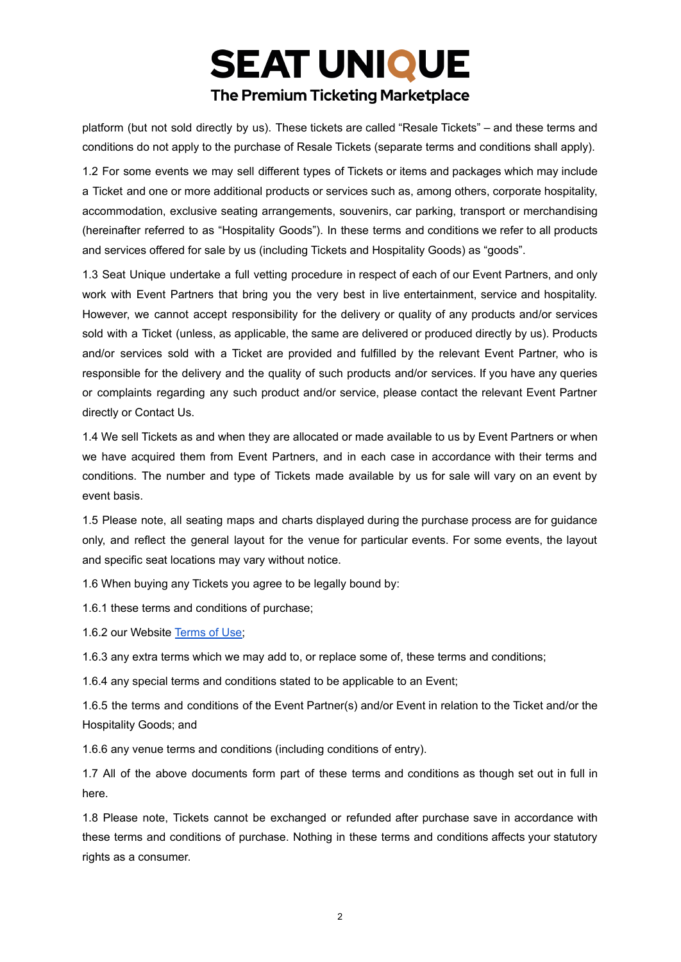platform (but not sold directly by us). These tickets are called "Resale Tickets" – and these terms and conditions do not apply to the purchase of Resale Tickets (separate terms and conditions shall apply).

1.2 For some events we may sell different types of Tickets or items and packages which may include a Ticket and one or more additional products or services such as, among others, corporate hospitality, accommodation, exclusive seating arrangements, souvenirs, car parking, transport or merchandising (hereinafter referred to as "Hospitality Goods"). In these terms and conditions we refer to all products and services offered for sale by us (including Tickets and Hospitality Goods) as "goods".

1.3 Seat Unique undertake a full vetting procedure in respect of each of our Event Partners, and only work with Event Partners that bring you the very best in live entertainment, service and hospitality. However, we cannot accept responsibility for the delivery or quality of any products and/or services sold with a Ticket (unless, as applicable, the same are delivered or produced directly by us). Products and/or services sold with a Ticket are provided and fulfilled by the relevant Event Partner, who is responsible for the delivery and the quality of such products and/or services. If you have any queries or complaints regarding any such product and/or service, please contact the relevant Event Partner directly or Contact Us.

1.4 We sell Tickets as and when they are allocated or made available to us by Event Partners or when we have acquired them from Event Partners, and in each case in accordance with their terms and conditions. The number and type of Tickets made available by us for sale will vary on an event by event basis.

1.5 Please note, all seating maps and charts displayed during the purchase process are for guidance only, and reflect the general layout for the venue for particular events. For some events, the layout and specific seat locations may vary without notice.

1.6 When buying any Tickets you agree to be legally bound by:

1.6.1 these terms and conditions of purchase;

1.6.2 our Website [Terms](https://www.seatunique.com/terms_of_use.pdf) of Use;

1.6.3 any extra terms which we may add to, or replace some of, these terms and conditions;

1.6.4 any special terms and conditions stated to be applicable to an Event;

1.6.5 the terms and conditions of the Event Partner(s) and/or Event in relation to the Ticket and/or the Hospitality Goods; and

1.6.6 any venue terms and conditions (including conditions of entry).

1.7 All of the above documents form part of these terms and conditions as though set out in full in here.

1.8 Please note, Tickets cannot be exchanged or refunded after purchase save in accordance with these terms and conditions of purchase. Nothing in these terms and conditions affects your statutory rights as a consumer.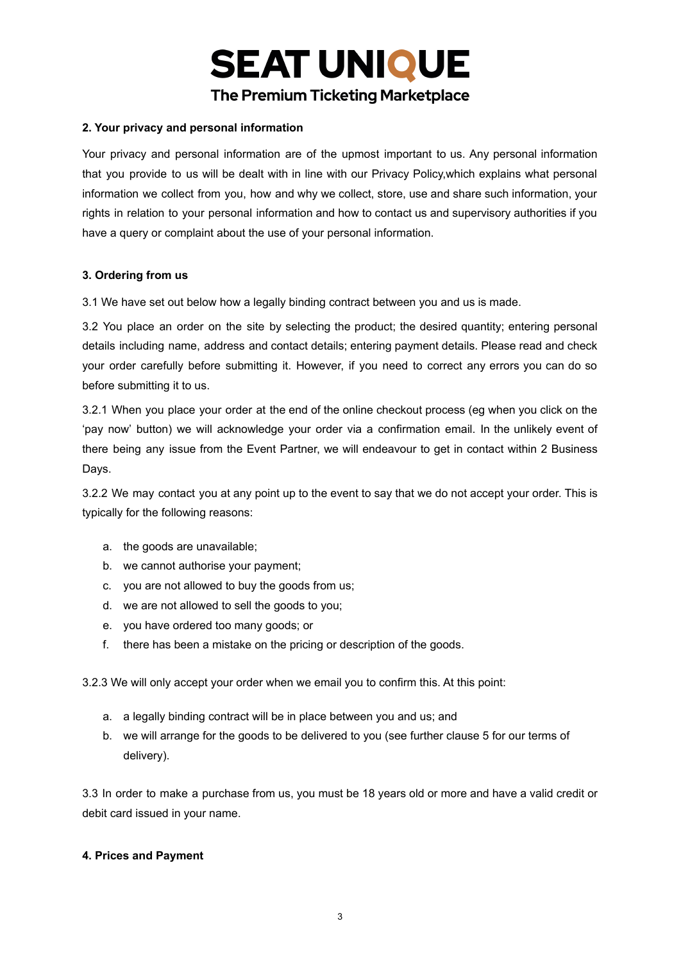#### **2. Your privacy and personal information**

Your privacy and personal information are of the upmost important to us. Any personal information that you provide to us will be dealt with in line with our Privacy Policy,which explains what personal information we collect from you, how and why we collect, store, use and share such information, your rights in relation to your personal information and how to contact us and supervisory authorities if you have a query or complaint about the use of your personal information.

#### **3. Ordering from us**

3.1 We have set out below how a legally binding contract between you and us is made.

3.2 You place an order on the site by selecting the product; the desired quantity; entering personal details including name, address and contact details; entering payment details. Please read and check your order carefully before submitting it. However, if you need to correct any errors you can do so before submitting it to us.

3.2.1 When you place your order at the end of the online checkout process (eg when you click on the 'pay now' button) we will acknowledge your order via a confirmation email. In the unlikely event of there being any issue from the Event Partner, we will endeavour to get in contact within 2 Business Days.

3.2.2 We may contact you at any point up to the event to say that we do not accept your order. This is typically for the following reasons:

- a. the goods are unavailable;
- b. we cannot authorise your payment;
- c. you are not allowed to buy the goods from us;
- d. we are not allowed to sell the goods to you;
- e. you have ordered too many goods; or
- f. there has been a mistake on the pricing or description of the goods.

3.2.3 We will only accept your order when we email you to confirm this. At this point:

- a. a legally binding contract will be in place between you and us; and
- b. we will arrange for the goods to be delivered to you (see further clause 5 for our terms of delivery).

3.3 In order to make a purchase from us, you must be 18 years old or more and have a valid credit or debit card issued in your name.

#### **4. Prices and Payment**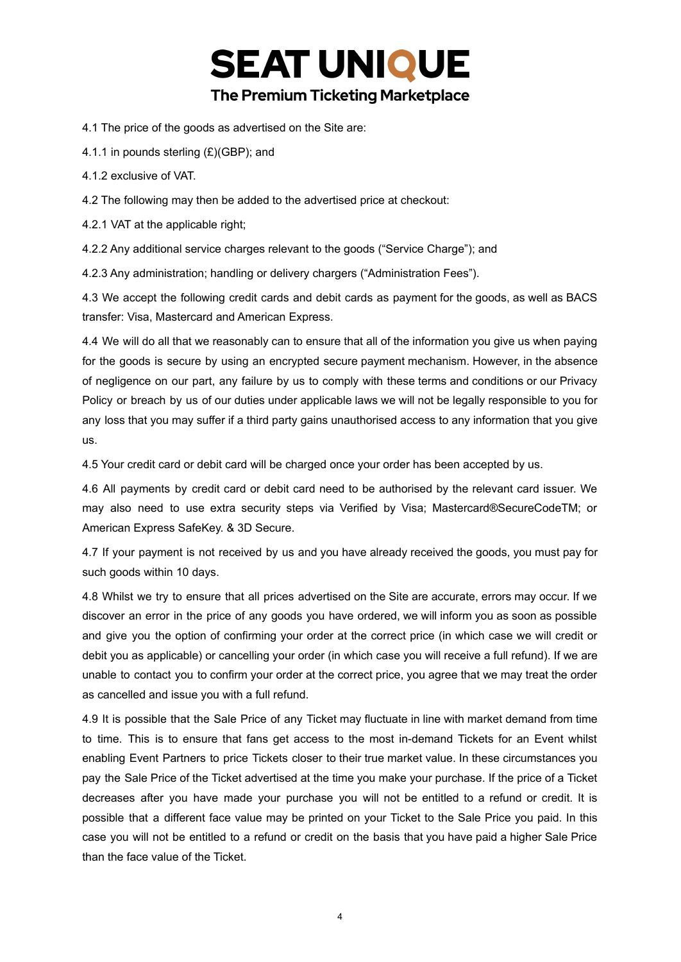4.1 The price of the goods as advertised on the Site are:

4.1.1 in pounds sterling (£)(GBP); and

4.1.2 exclusive of VAT.

4.2 The following may then be added to the advertised price at checkout:

4.2.1 VAT at the applicable right;

4.2.2 Any additional service charges relevant to the goods ("Service Charge"); and

4.2.3 Any administration; handling or delivery chargers ("Administration Fees").

4.3 We accept the following credit cards and debit cards as payment for the goods, as well as BACS transfer: Visa, Mastercard and American Express.

4.4 We will do all that we reasonably can to ensure that all of the information you give us when paying for the goods is secure by using an encrypted secure payment mechanism. However, in the absence of negligence on our part, any failure by us to comply with these terms and conditions or our Privacy Policy or breach by us of our duties under applicable laws we will not be legally responsible to you for any loss that you may suffer if a third party gains unauthorised access to any information that you give us.

4.5 Your credit card or debit card will be charged once your order has been accepted by us.

4.6 All payments by credit card or debit card need to be authorised by the relevant card issuer. We may also need to use extra security steps via Verified by Visa; Mastercard®SecureCodeTM; or American Express SafeKey. & 3D Secure.

4.7 If your payment is not received by us and you have already received the goods, you must pay for such goods within 10 days.

4.8 Whilst we try to ensure that all prices advertised on the Site are accurate, errors may occur. If we discover an error in the price of any goods you have ordered, we will inform you as soon as possible and give you the option of confirming your order at the correct price (in which case we will credit or debit you as applicable) or cancelling your order (in which case you will receive a full refund). If we are unable to contact you to confirm your order at the correct price, you agree that we may treat the order as cancelled and issue you with a full refund.

4.9 It is possible that the Sale Price of any Ticket may fluctuate in line with market demand from time to time. This is to ensure that fans get access to the most in-demand Tickets for an Event whilst enabling Event Partners to price Tickets closer to their true market value. In these circumstances you pay the Sale Price of the Ticket advertised at the time you make your purchase. If the price of a Ticket decreases after you have made your purchase you will not be entitled to a refund or credit. It is possible that a different face value may be printed on your Ticket to the Sale Price you paid. In this case you will not be entitled to a refund or credit on the basis that you have paid a higher Sale Price than the face value of the Ticket.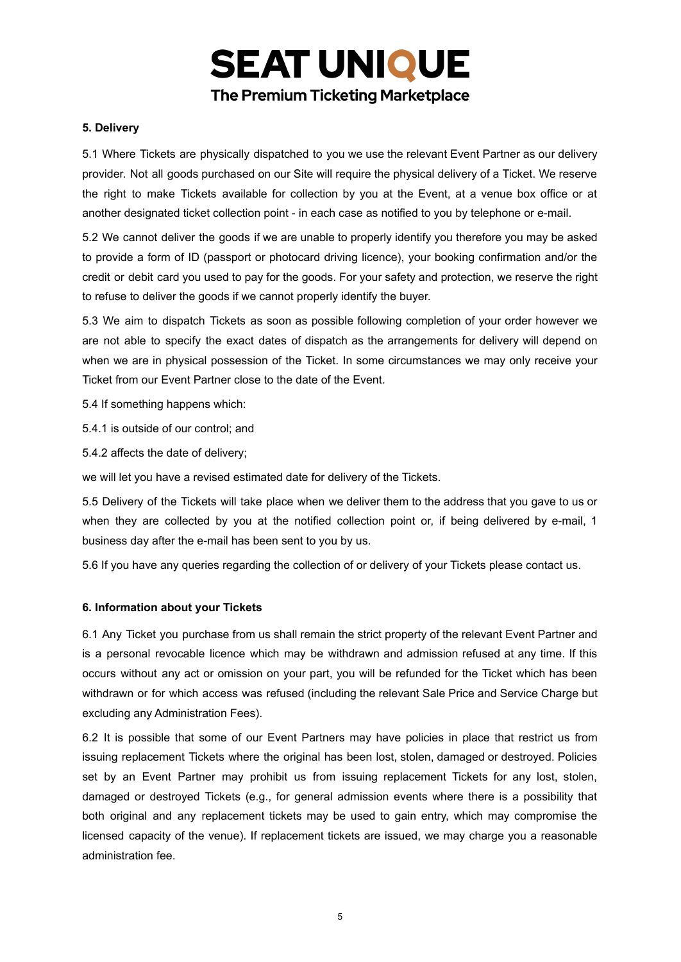#### **5. Delivery**

5.1 Where Tickets are physically dispatched to you we use the relevant Event Partner as our delivery provider. Not all goods purchased on our Site will require the physical delivery of a Ticket. We reserve the right to make Tickets available for collection by you at the Event, at a venue box office or at another designated ticket collection point - in each case as notified to you by telephone or e-mail.

5.2 We cannot deliver the goods if we are unable to properly identify you therefore you may be asked to provide a form of ID (passport or photocard driving licence), your booking confirmation and/or the credit or debit card you used to pay for the goods. For your safety and protection, we reserve the right to refuse to deliver the goods if we cannot properly identify the buyer.

5.3 We aim to dispatch Tickets as soon as possible following completion of your order however we are not able to specify the exact dates of dispatch as the arrangements for delivery will depend on when we are in physical possession of the Ticket. In some circumstances we may only receive your Ticket from our Event Partner close to the date of the Event.

5.4 If something happens which:

- 5.4.1 is outside of our control; and
- 5.4.2 affects the date of delivery;

we will let you have a revised estimated date for delivery of the Tickets.

5.5 Delivery of the Tickets will take place when we deliver them to the address that you gave to us or when they are collected by you at the notified collection point or, if being delivered by e-mail, 1 business day after the e-mail has been sent to you by us.

5.6 If you have any queries regarding the collection of or delivery of your Tickets please contact us.

#### **6. Information about your Tickets**

6.1 Any Ticket you purchase from us shall remain the strict property of the relevant Event Partner and is a personal revocable licence which may be withdrawn and admission refused at any time. If this occurs without any act or omission on your part, you will be refunded for the Ticket which has been withdrawn or for which access was refused (including the relevant Sale Price and Service Charge but excluding any Administration Fees).

6.2 It is possible that some of our Event Partners may have policies in place that restrict us from issuing replacement Tickets where the original has been lost, stolen, damaged or destroyed. Policies set by an Event Partner may prohibit us from issuing replacement Tickets for any lost, stolen, damaged or destroyed Tickets (e.g., for general admission events where there is a possibility that both original and any replacement tickets may be used to gain entry, which may compromise the licensed capacity of the venue). If replacement tickets are issued, we may charge you a reasonable administration fee.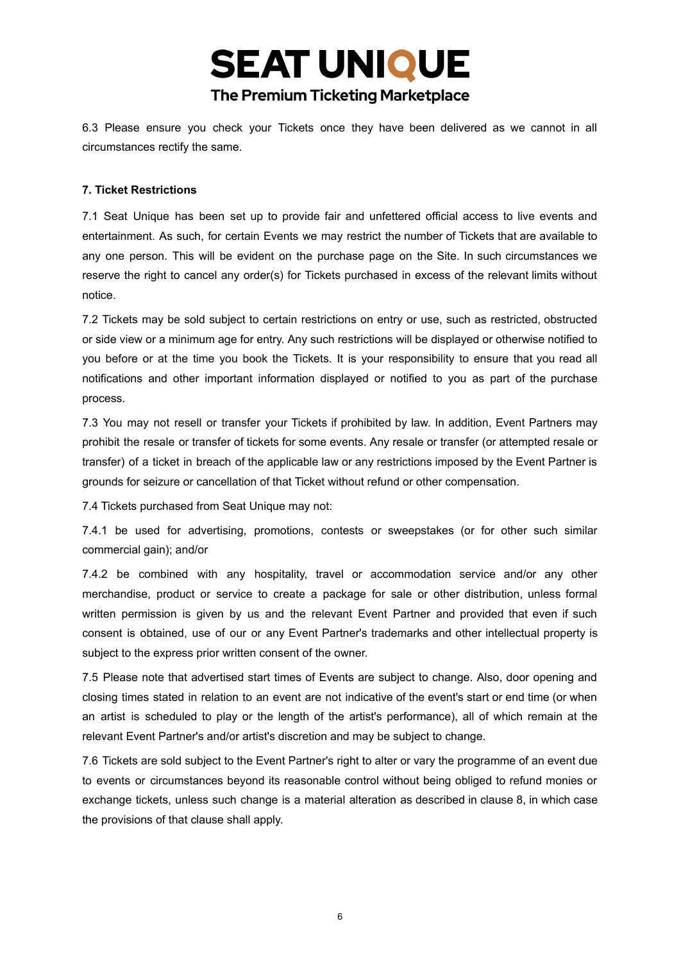6.3 Please ensure you check your Tickets once they have been delivered as we cannot in all circumstances rectify the same.

#### **7. Ticket Restrictions**

7.1 Seat Unique has been set up to provide fair and unfettered official access to live events and entertainment. As such, for certain Events we may restrict the number of Tickets that are available to any one person. This will be evident on the purchase page on the Site. In such circumstances we reserve the right to cancel any order(s) for Tickets purchased in excess of the relevant limits without notice.

7.2 Tickets may be sold subject to certain restrictions on entry or use, such as restricted, obstructed or side view or a minimum age for entry. Any such restrictions will be displayed or otherwise notified to you before or at the time you book the Tickets. It is your responsibility to ensure that you read all notifications and other important information displayed or notified to you as part of the purchase process.

7.3 You may not resell or transfer your Tickets if prohibited by law. In addition, Event Partners may prohibit the resale or transfer of tickets for some events. Any resale or transfer (or attempted resale or transfer) of a ticket in breach of the applicable law or any restrictions imposed by the Event Partner is grounds for seizure or cancellation of that Ticket without refund or other compensation.

7.4 Tickets purchased from Seat Unique may not:

7.4.1 be used for advertising, promotions, contests or sweepstakes (or for other such similar commercial gain); and/or

7.4.2 be combined with any hospitality, travel or accommodation service and/or any other merchandise, product or service to create a package for sale or other distribution, unless formal written permission is given by us and the relevant Event Partner and provided that even if such consent is obtained, use of our or any Event Partner's trademarks and other intellectual property is subject to the express prior written consent of the owner.

7.5 Please note that advertised start times of Events are subject to change. Also, door opening and closing times stated in relation to an event are not indicative of the event's start or end time (or when an artist is scheduled to play or the length of the artist's performance), all of which remain at the relevant Event Partner's and/or artist's discretion and may be subject to change.

7.6 Tickets are sold subject to the Event Partner's right to alter or vary the programme of an event due to events or circumstances beyond its reasonable control without being obliged to refund monies or exchange tickets, unless such change is a material alteration as described in clause 8, in which case the provisions of that clause shall apply.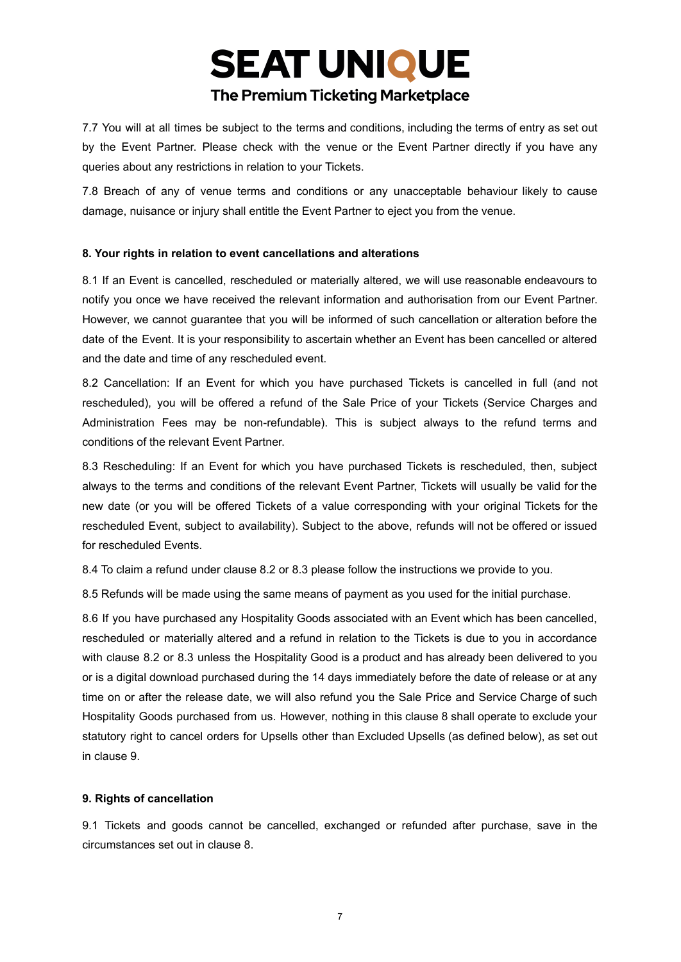7.7 You will at all times be subject to the terms and conditions, including the terms of entry as set out by the Event Partner. Please check with the venue or the Event Partner directly if you have any

queries about any restrictions in relation to your Tickets. 7.8 Breach of any of venue terms and conditions or any unacceptable behaviour likely to cause damage, nuisance or injury shall entitle the Event Partner to eject you from the venue.

#### **8. Your rights in relation to event cancellations and alterations**

8.1 If an Event is cancelled, rescheduled or materially altered, we will use reasonable endeavours to notify you once we have received the relevant information and authorisation from our Event Partner. However, we cannot guarantee that you will be informed of such cancellation or alteration before the date of the Event. It is your responsibility to ascertain whether an Event has been cancelled or altered and the date and time of any rescheduled event.

8.2 Cancellation: If an Event for which you have purchased Tickets is cancelled in full (and not rescheduled), you will be offered a refund of the Sale Price of your Tickets (Service Charges and Administration Fees may be non-refundable). This is subject always to the refund terms and conditions of the relevant Event Partner.

8.3 Rescheduling: If an Event for which you have purchased Tickets is rescheduled, then, subject always to the terms and conditions of the relevant Event Partner, Tickets will usually be valid for the new date (or you will be offered Tickets of a value corresponding with your original Tickets for the rescheduled Event, subject to availability). Subject to the above, refunds will not be offered or issued for rescheduled Events.

8.4 To claim a refund under clause 8.2 or 8.3 please follow the instructions we provide to you.

8.5 Refunds will be made using the same means of payment as you used for the initial purchase.

8.6 If you have purchased any Hospitality Goods associated with an Event which has been cancelled, rescheduled or materially altered and a refund in relation to the Tickets is due to you in accordance with clause 8.2 or 8.3 unless the Hospitality Good is a product and has already been delivered to you or is a digital download purchased during the 14 days immediately before the date of release or at any time on or after the release date, we will also refund you the Sale Price and Service Charge of such Hospitality Goods purchased from us. However, nothing in this clause 8 shall operate to exclude your statutory right to cancel orders for Upsells other than Excluded Upsells (as defined below), as set out in clause 9.

#### **9. Rights of cancellation**

9.1 Tickets and goods cannot be cancelled, exchanged or refunded after purchase, save in the circumstances set out in clause 8.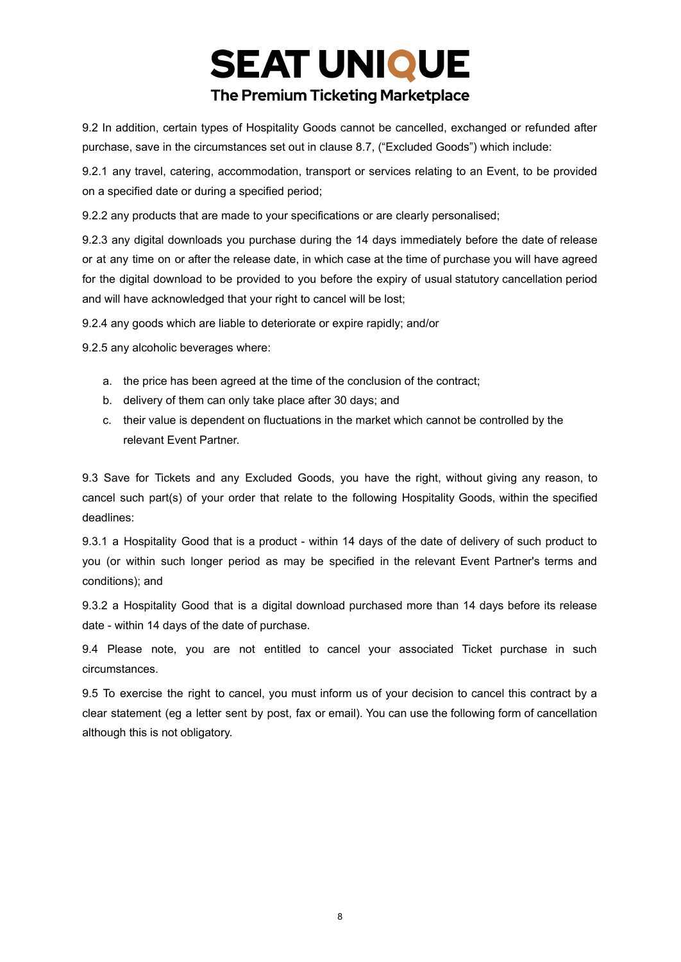**SEAT UNIQUE** 

### **The Premium Ticketing Marketplace**

9.2 In addition, certain types of Hospitality Goods cannot be cancelled, exchanged or refunded after purchase, save in the circumstances set out in clause 8.7, ("Excluded Goods") which include:

9.2.1 any travel, catering, accommodation, transport or services relating to an Event, to be provided on a specified date or during a specified period;

9.2.2 any products that are made to your specifications or are clearly personalised;

9.2.3 any digital downloads you purchase during the 14 days immediately before the date of release or at any time on or after the release date, in which case at the time of purchase you will have agreed for the digital download to be provided to you before the expiry of usual statutory cancellation period and will have acknowledged that your right to cancel will be lost;

9.2.4 any goods which are liable to deteriorate or expire rapidly; and/or

9.2.5 any alcoholic beverages where:

- a. the price has been agreed at the time of the conclusion of the contract;
- b. delivery of them can only take place after 30 days; and
- c. their value is dependent on fluctuations in the market which cannot be controlled by the relevant Event Partner.

9.3 Save for Tickets and any Excluded Goods, you have the right, without giving any reason, to cancel such part(s) of your order that relate to the following Hospitality Goods, within the specified deadlines:

9.3.1 a Hospitality Good that is a product - within 14 days of the date of delivery of such product to you (or within such longer period as may be specified in the relevant Event Partner's terms and conditions); and

9.3.2 a Hospitality Good that is a digital download purchased more than 14 days before its release date - within 14 days of the date of purchase.

9.4 Please note, you are not entitled to cancel your associated Ticket purchase in such circumstances.

9.5 To exercise the right to cancel, you must inform us of your decision to cancel this contract by a clear statement (eg a letter sent by post, fax or email). You can use the following form of cancellation although this is not obligatory.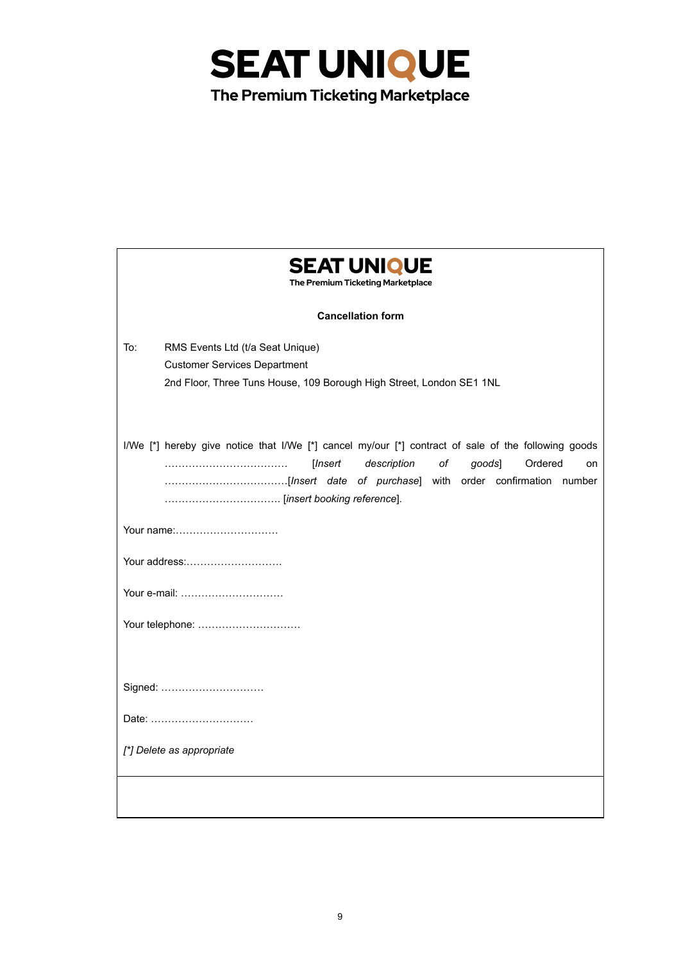

| <b>SEAT UNIQUE</b><br>The Premium Ticketing Marketplace                                                                                                        |
|----------------------------------------------------------------------------------------------------------------------------------------------------------------|
| <b>Cancellation form</b>                                                                                                                                       |
| To:<br>RMS Events Ltd (t/a Seat Unique)<br><b>Customer Services Department</b><br>2nd Floor, Three Tuns House, 109 Borough High Street, London SE1 1NL         |
| I/We [*] hereby give notice that I/We [*] cancel my/our [*] contract of sale of the following goods<br>description<br>оf<br>[Insert<br>goods]<br>Ordered<br>on |
| Your name:                                                                                                                                                     |
| Your address:                                                                                                                                                  |
| Your e-mail:                                                                                                                                                   |
| Your telephone:                                                                                                                                                |
| Signed:                                                                                                                                                        |
| Date:                                                                                                                                                          |
| [*] Delete as appropriate                                                                                                                                      |
|                                                                                                                                                                |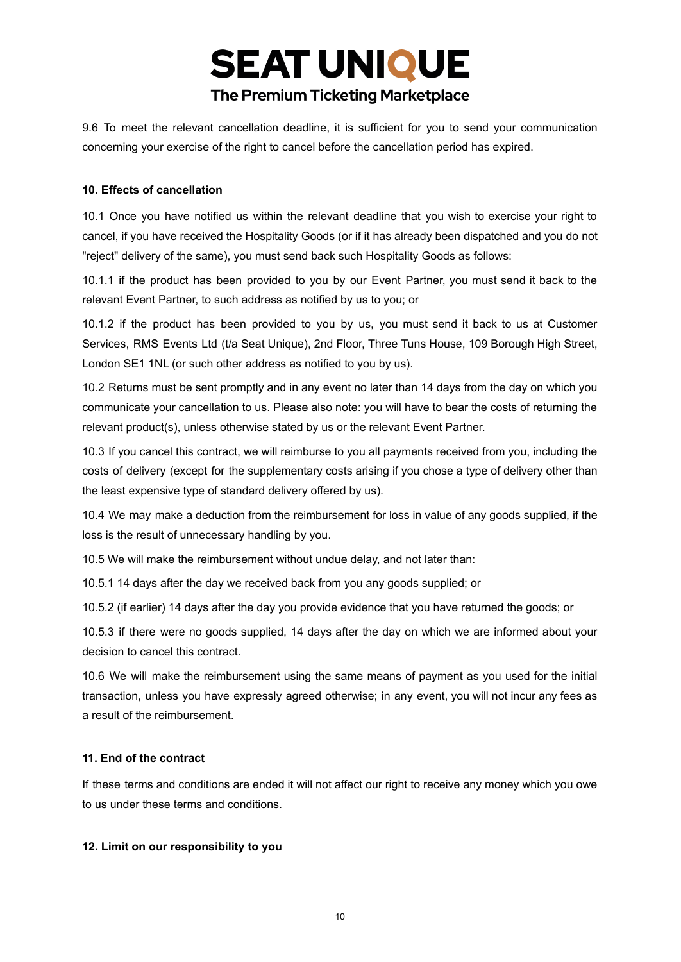9.6 To meet the relevant cancellation deadline, it is sufficient for you to send your communication concerning your exercise of the right to cancel before the cancellation period has expired.

#### **10. Effects of cancellation**

10.1 Once you have notified us within the relevant deadline that you wish to exercise your right to cancel, if you have received the Hospitality Goods (or if it has already been dispatched and you do not "reject" delivery of the same), you must send back such Hospitality Goods as follows:

10.1.1 if the product has been provided to you by our Event Partner, you must send it back to the relevant Event Partner, to such address as notified by us to you; or

10.1.2 if the product has been provided to you by us, you must send it back to us at Customer Services, RMS Events Ltd (t/a Seat Unique), 2nd Floor, Three Tuns House, 109 Borough High Street, London SE1 1NL (or such other address as notified to you by us).

10.2 Returns must be sent promptly and in any event no later than 14 days from the day on which you communicate your cancellation to us. Please also note: you will have to bear the costs of returning the relevant product(s), unless otherwise stated by us or the relevant Event Partner.

10.3 If you cancel this contract, we will reimburse to you all payments received from you, including the costs of delivery (except for the supplementary costs arising if you chose a type of delivery other than the least expensive type of standard delivery offered by us).

10.4 We may make a deduction from the reimbursement for loss in value of any goods supplied, if the loss is the result of unnecessary handling by you.

10.5 We will make the reimbursement without undue delay, and not later than:

10.5.1 14 days after the day we received back from you any goods supplied; or

10.5.2 (if earlier) 14 days after the day you provide evidence that you have returned the goods; or

10.5.3 if there were no goods supplied, 14 days after the day on which we are informed about your decision to cancel this contract.

10.6 We will make the reimbursement using the same means of payment as you used for the initial transaction, unless you have expressly agreed otherwise; in any event, you will not incur any fees as a result of the reimbursement.

#### **11. End of the contract**

If these terms and conditions are ended it will not affect our right to receive any money which you owe to us under these terms and conditions.

#### **12. Limit on our responsibility to you**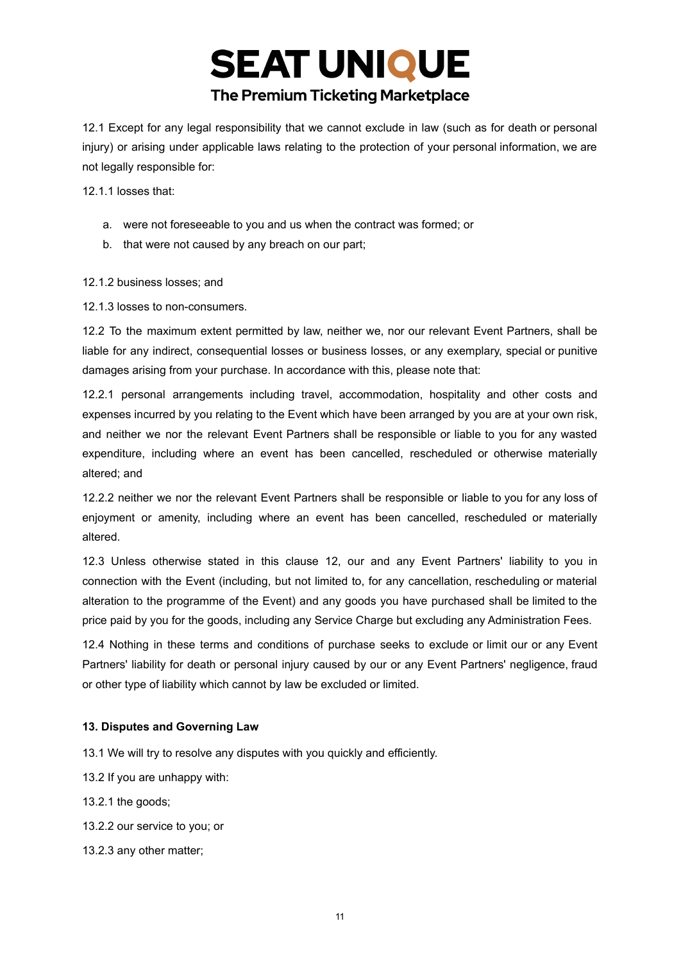12.1 Except for any legal responsibility that we cannot exclude in law (such as for death or personal injury) or arising under applicable laws relating to the protection of your personal information, we are not legally responsible for:

12.1.1 losses that:

- a. were not foreseeable to you and us when the contract was formed; or
- b. that were not caused by any breach on our part;

12.1.2 business losses; and

12.1.3 losses to non-consumers.

12.2 To the maximum extent permitted by law, neither we, nor our relevant Event Partners, shall be liable for any indirect, consequential losses or business losses, or any exemplary, special or punitive damages arising from your purchase. In accordance with this, please note that:

12.2.1 personal arrangements including travel, accommodation, hospitality and other costs and expenses incurred by you relating to the Event which have been arranged by you are at your own risk, and neither we nor the relevant Event Partners shall be responsible or liable to you for any wasted expenditure, including where an event has been cancelled, rescheduled or otherwise materially altered; and

12.2.2 neither we nor the relevant Event Partners shall be responsible or liable to you for any loss of enjoyment or amenity, including where an event has been cancelled, rescheduled or materially altered.

12.3 Unless otherwise stated in this clause 12, our and any Event Partners' liability to you in connection with the Event (including, but not limited to, for any cancellation, rescheduling or material alteration to the programme of the Event) and any goods you have purchased shall be limited to the price paid by you for the goods, including any Service Charge but excluding any Administration Fees.

12.4 Nothing in these terms and conditions of purchase seeks to exclude or limit our or any Event Partners' liability for death or personal injury caused by our or any Event Partners' negligence, fraud or other type of liability which cannot by law be excluded or limited.

#### **13. Disputes and Governing Law**

13.1 We will try to resolve any disputes with you quickly and efficiently.

13.2 If you are unhappy with:

13.2.1 the goods;

- 13.2.2 our service to you; or
- 13.2.3 any other matter;